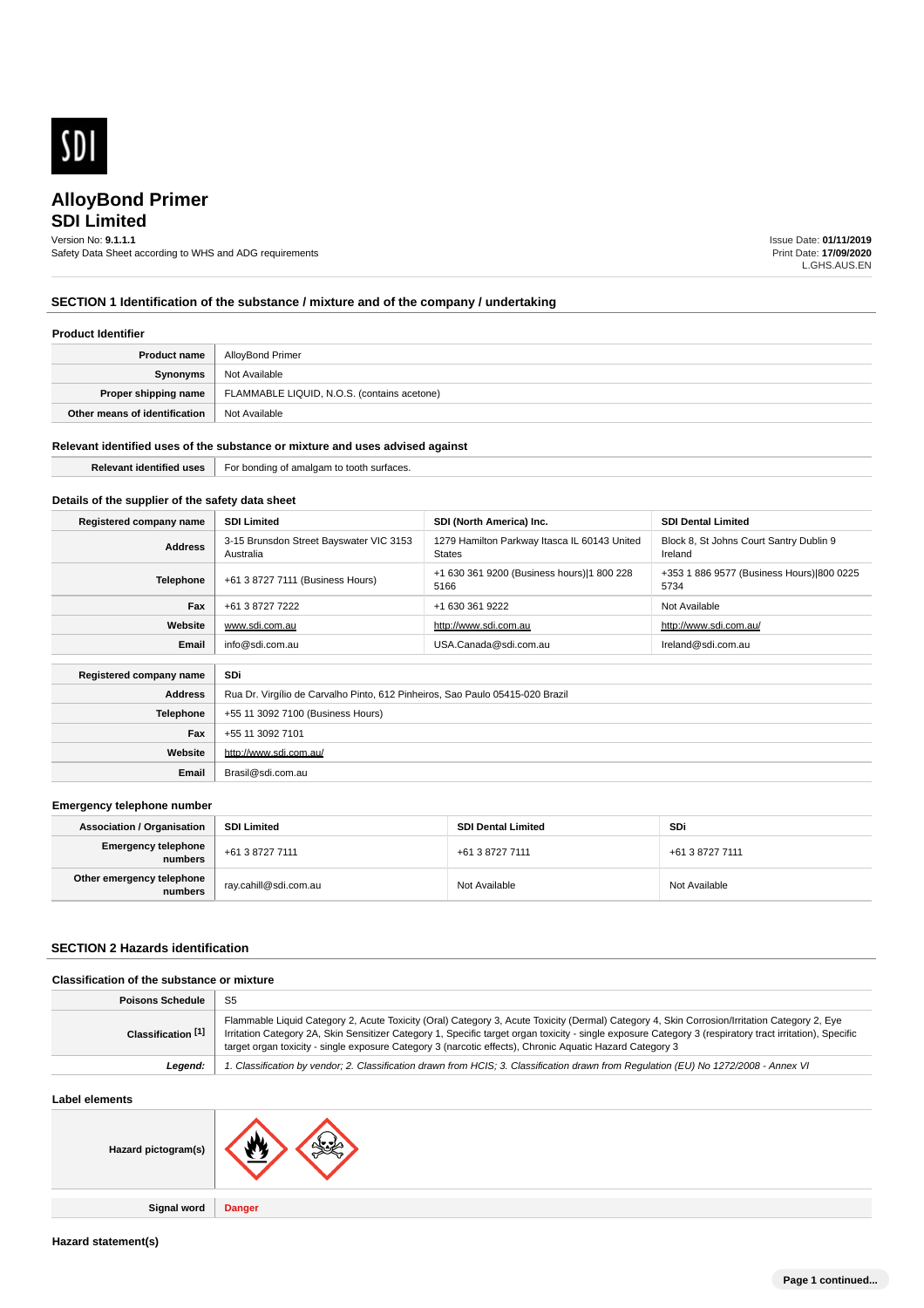

## **SDI Limited**

Version No: **9.1.1.1**

Safety Data Sheet according to WHS and ADG requirements

Issue Date: **01/11/2019** Print Date: **17/09/2020** L.GHS.AUS.EN

## **SECTION 1 Identification of the substance / mixture and of the company / undertaking**

## **Product Identifier**

| Product name                  | AlloyBond Primer                            |
|-------------------------------|---------------------------------------------|
| Synonyms                      | Not Available                               |
| Proper shipping name          | FLAMMABLE LIQUID, N.O.S. (contains acetone) |
| Other means of identification | Not Available                               |

#### **Relevant identified uses of the substance or mixture and uses advised against**

**Relevant identified uses** For bonding of amalgam to tooth surfaces.

### **Details of the supplier of the safety data sheet**

| Registered company name | <b>SDI Limited</b>                                   | SDI (North America) Inc.                                                      | <b>SDI Dental Limited</b>                          |
|-------------------------|------------------------------------------------------|-------------------------------------------------------------------------------|----------------------------------------------------|
| <b>Address</b>          | 3-15 Brunsdon Street Bayswater VIC 3153<br>Australia | 1279 Hamilton Parkway Itasca IL 60143 United<br><b>States</b>                 | Block 8, St Johns Court Santry Dublin 9<br>Ireland |
| <b>Telephone</b>        | +61 3 8727 7111 (Business Hours)                     | +1 630 361 9200 (Business hours) 1 800 228<br>5166                            | +353 1 886 9577 (Business Hours) 800 0225<br>5734  |
| Fax                     | +61 3 8727 7222                                      | +1 630 361 9222                                                               | Not Available                                      |
| Website                 | www.sdi.com.au                                       | http://www.sdi.com.au                                                         | http://www.sdi.com.au/                             |
| Email                   | info@sdi.com.au                                      | USA.Canada@sdi.com.au                                                         | Ireland@sdi.com.au                                 |
|                         |                                                      |                                                                               |                                                    |
| Registered company name | SDi                                                  |                                                                               |                                                    |
| <b>Address</b>          |                                                      | Rua Dr. Virgílio de Carvalho Pinto, 612 Pinheiros, Sao Paulo 05415-020 Brazil |                                                    |
| <b>Telephone</b>        | +55 11 3092 7100 (Business Hours)                    |                                                                               |                                                    |
| Fax                     | +55 11 3092 7101                                     |                                                                               |                                                    |
| Website                 | http://www.sdi.com.au/                               |                                                                               |                                                    |
| Email                   | Brasil@sdi.com.au                                    |                                                                               |                                                    |

#### **Emergency telephone number**

| <b>Association / Organisation</b>    | <b>SDI Limited</b>    | <b>SDI Dental Limited</b> | SDi             |
|--------------------------------------|-----------------------|---------------------------|-----------------|
| Emergency telephone<br>numbers       | +61 3 8727 7111       | +61 3 8727 7111           | +61 3 8727 7111 |
| Other emergency telephone<br>numbers | ray.cahill@sdi.com.au | Not Available             | Not Available   |

## **SECTION 2 Hazards identification**

| Classification of the substance or mixture |                                                                                                                                                                                                                                                                                                                                                                                                                      |  |
|--------------------------------------------|----------------------------------------------------------------------------------------------------------------------------------------------------------------------------------------------------------------------------------------------------------------------------------------------------------------------------------------------------------------------------------------------------------------------|--|
| <b>Poisons Schedule</b>                    | -S5                                                                                                                                                                                                                                                                                                                                                                                                                  |  |
| Classification [1]                         | Flammable Liquid Category 2, Acute Toxicity (Oral) Category 3, Acute Toxicity (Dermal) Category 4, Skin Corrosion/Irritation Category 2, Eye<br>Irritation Category 2A, Skin Sensitizer Category 1, Specific target organ toxicity - single exposure Category 3 (respiratory tract irritation), Specific<br>target organ toxicity - single exposure Category 3 (narcotic effects), Chronic Aquatic Hazard Category 3 |  |
| Leaend:                                    | 1. Classification by vendor; 2. Classification drawn from HCIS; 3. Classification drawn from Requlation (EU) No 1272/2008 - Annex VI                                                                                                                                                                                                                                                                                 |  |

| Label elements      |               |
|---------------------|---------------|
| Hazard pictogram(s) | . м<br>ᄾᅜ     |
|                     |               |
| <b>Signal word</b>  | <b>Danger</b> |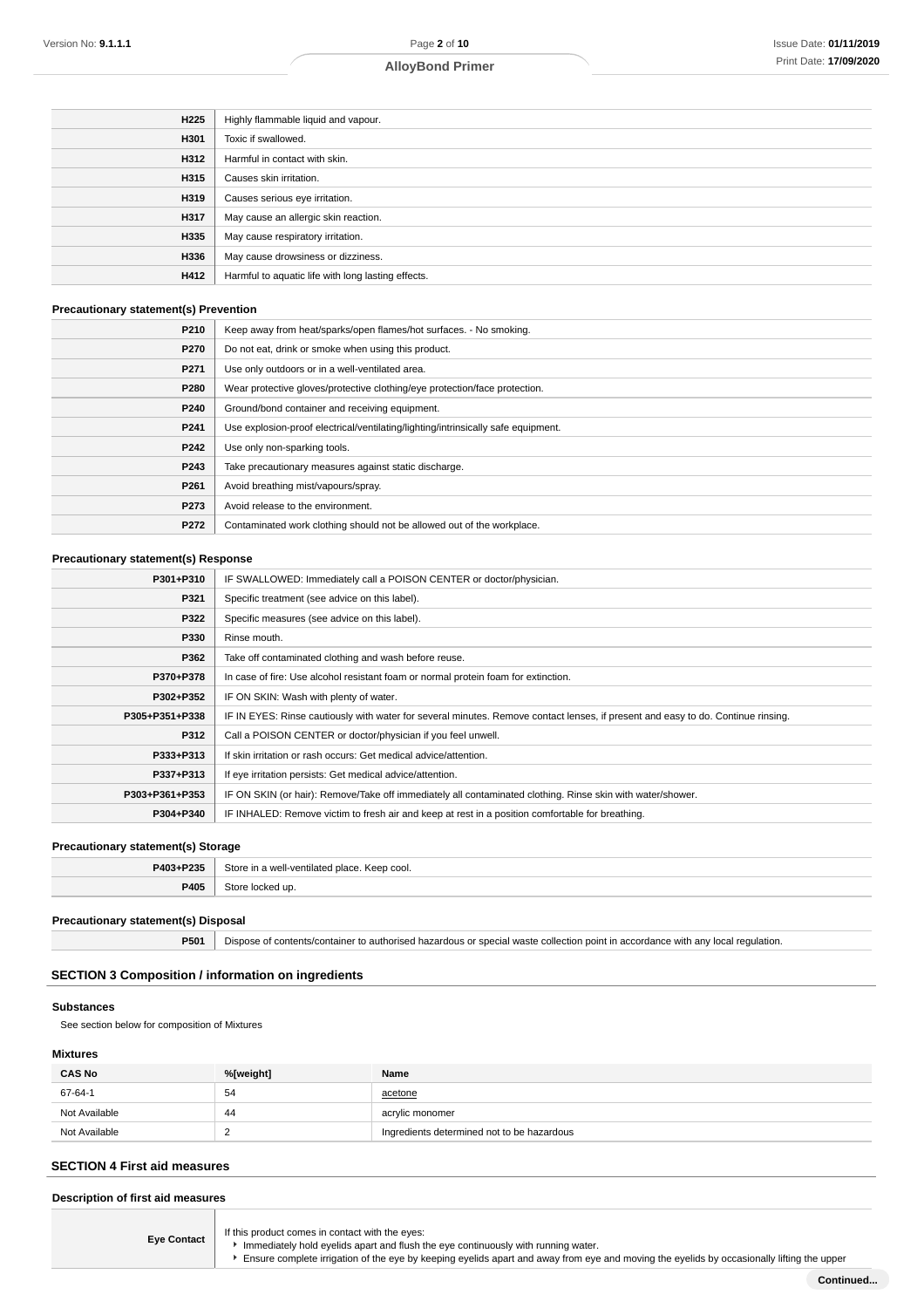| H225 | Highly flammable liquid and vapour.                |
|------|----------------------------------------------------|
| H301 | Toxic if swallowed.                                |
| H312 | Harmful in contact with skin.                      |
| H315 | Causes skin irritation.                            |
| H319 | Causes serious eye irritation.                     |
| H317 | May cause an allergic skin reaction.               |
| H335 | May cause respiratory irritation.                  |
| H336 | May cause drowsiness or dizziness.                 |
| H412 | Harmful to aquatic life with long lasting effects. |
|      |                                                    |

#### **Precautionary statement(s) Prevention**

| P210             | Keep away from heat/sparks/open flames/hot surfaces. - No smoking.                |
|------------------|-----------------------------------------------------------------------------------|
| P270             | Do not eat, drink or smoke when using this product.                               |
| P271             | Use only outdoors or in a well-ventilated area.                                   |
| P280             | Wear protective gloves/protective clothing/eye protection/face protection.        |
| P240             | Ground/bond container and receiving equipment.                                    |
| P <sub>241</sub> | Use explosion-proof electrical/ventilating/lighting/intrinsically safe equipment. |
| P242             | Use only non-sparking tools.                                                      |
| P243             | Take precautionary measures against static discharge.                             |
| P <sub>261</sub> | Avoid breathing mist/vapours/spray.                                               |
| P273             | Avoid release to the environment.                                                 |
| P272             | Contaminated work clothing should not be allowed out of the workplace.            |

#### **Precautionary statement(s) Response**

| P301+P310      | IF SWALLOWED: Immediately call a POISON CENTER or doctor/physician.                                                              |
|----------------|----------------------------------------------------------------------------------------------------------------------------------|
| P321           | Specific treatment (see advice on this label).                                                                                   |
| P322           | Specific measures (see advice on this label).                                                                                    |
| P330           | Rinse mouth.                                                                                                                     |
| P362           | Take off contaminated clothing and wash before reuse.                                                                            |
| P370+P378      | In case of fire: Use alcohol resistant foam or normal protein foam for extinction.                                               |
| P302+P352      | IF ON SKIN: Wash with plenty of water.                                                                                           |
| P305+P351+P338 | IF IN EYES: Rinse cautiously with water for several minutes. Remove contact lenses, if present and easy to do. Continue rinsing. |
| P312           | Call a POISON CENTER or doctor/physician if you feel unwell.                                                                     |
| P333+P313      | If skin irritation or rash occurs: Get medical advice/attention.                                                                 |
| P337+P313      | If eye irritation persists: Get medical advice/attention.                                                                        |
| P303+P361+P353 | IF ON SKIN (or hair): Remove/Take off immediately all contaminated clothing. Rinse skin with water/shower.                       |
| P304+P340      | IF INHALED: Remove victim to fresh air and keep at rest in a position comfortable for breathing.                                 |

## **Precautionary statement(s) Storage**

| P403+P235        | štо<br>Keep cool. |
|------------------|-------------------|
| <b>DANE</b><br>. | up                |

#### **Precautionary statement(s) Disposal**

**P501** Dispose of contents/container to authorised hazardous or special waste collection point in accordance with any local regulation.

### **SECTION 3 Composition / information on ingredients**

#### **Substances**

See section below for composition of Mixtures

#### **Mixtures**

| <b>CAS No</b> | %[weight] | Name                                       |
|---------------|-----------|--------------------------------------------|
| 67-64-1       | 54        | acetone                                    |
| Not Available | -44       | acrylic monomer                            |
| Not Available |           | Ingredients determined not to be hazardous |

## **SECTION 4 First aid measures**

**Description of first aid measures**

**Eye Contact** If this product comes in contact with the eyes:

Immediately hold eyelids apart and flush the eye continuously with running water.

**F** Ensure complete irrigation of the eye by keeping eyelids apart and away from eye and moving the eyelids by occasionally lifting the upper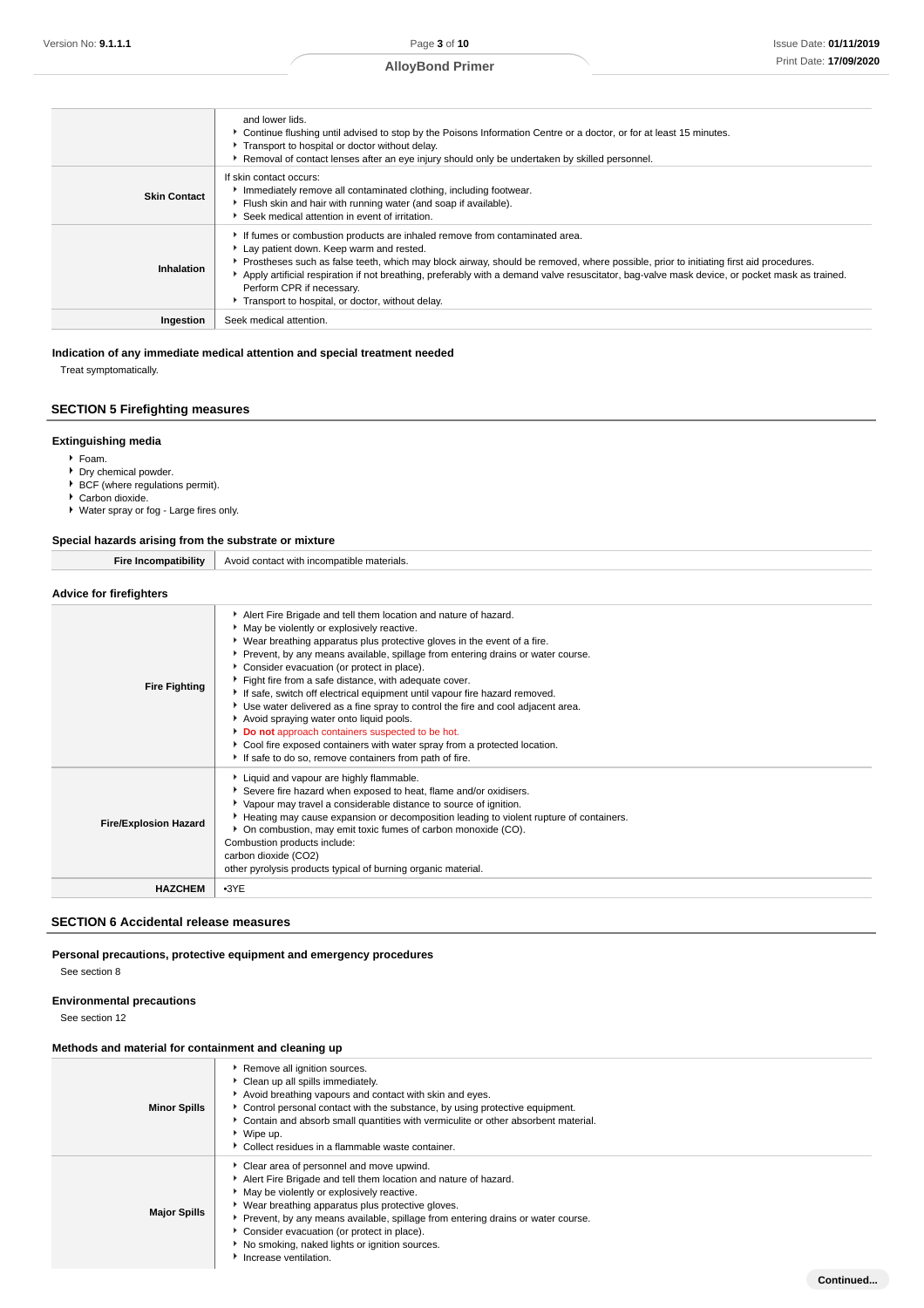**Continued...**

## **AlloyBond Primer**

|                     | and lower lids.<br>► Continue flushing until advised to stop by the Poisons Information Centre or a doctor, or for at least 15 minutes.<br>Transport to hospital or doctor without delay.<br>Removal of contact lenses after an eye injury should only be undertaken by skilled personnel.                                                                                                                                                                                                        |
|---------------------|---------------------------------------------------------------------------------------------------------------------------------------------------------------------------------------------------------------------------------------------------------------------------------------------------------------------------------------------------------------------------------------------------------------------------------------------------------------------------------------------------|
| <b>Skin Contact</b> | If skin contact occurs:<br>Immediately remove all contaminated clothing, including footwear.<br>Flush skin and hair with running water (and soap if available).<br>Seek medical attention in event of irritation.                                                                                                                                                                                                                                                                                 |
| Inhalation          | If fumes or combustion products are inhaled remove from contaminated area.<br>Lay patient down. Keep warm and rested.<br>▶ Prostheses such as false teeth, which may block airway, should be removed, where possible, prior to initiating first aid procedures.<br>Apply artificial respiration if not breathing, preferably with a demand valve resuscitator, bag-valve mask device, or pocket mask as trained.<br>Perform CPR if necessary.<br>Transport to hospital, or doctor, without delay. |
| Ingestion           | Seek medical attention.                                                                                                                                                                                                                                                                                                                                                                                                                                                                           |

#### **Indication of any immediate medical attention and special treatment needed**

Treat symptomatically.

### **SECTION 5 Firefighting measures**

#### **Extinguishing media**

- Foam.
- ▶ Dry chemical powder. ■ BCF (where regulations permit).
- Carbon dioxide.
- Water spray or fog Large fires only.

#### **Special hazards arising from the substrate or mixture**

**Fire Incompatibility** Avoid contact with incompatible materials.

### **Advice for firefighters**

| <b>Fire Fighting</b>         | Alert Fire Brigade and tell them location and nature of hazard.<br>* May be violently or explosively reactive.<br>▶ Wear breathing apparatus plus protective gloves in the event of a fire.<br>Prevent, by any means available, spillage from entering drains or water course.<br>Consider evacuation (or protect in place).<br>Fight fire from a safe distance, with adequate cover.<br>If safe, switch off electrical equipment until vapour fire hazard removed.<br>Use water delivered as a fine spray to control the fire and cool adjacent area.<br>Avoid spraying water onto liquid pools.<br>Do not approach containers suspected to be hot.<br>Cool fire exposed containers with water spray from a protected location.<br>If safe to do so, remove containers from path of fire. |
|------------------------------|--------------------------------------------------------------------------------------------------------------------------------------------------------------------------------------------------------------------------------------------------------------------------------------------------------------------------------------------------------------------------------------------------------------------------------------------------------------------------------------------------------------------------------------------------------------------------------------------------------------------------------------------------------------------------------------------------------------------------------------------------------------------------------------------|
| <b>Fire/Explosion Hazard</b> | Liquid and vapour are highly flammable.<br>Severe fire hazard when exposed to heat, flame and/or oxidisers.<br>• Vapour may travel a considerable distance to source of ignition.<br>Heating may cause expansion or decomposition leading to violent rupture of containers.<br>• On combustion, may emit toxic fumes of carbon monoxide (CO).<br>Combustion products include:<br>carbon dioxide (CO2)<br>other pyrolysis products typical of burning organic material.                                                                                                                                                                                                                                                                                                                     |
| <b>HAZCHEM</b>               | $-3YE$                                                                                                                                                                                                                                                                                                                                                                                                                                                                                                                                                                                                                                                                                                                                                                                     |

### **SECTION 6 Accidental release measures**

**Personal precautions, protective equipment and emergency procedures**

See section 8

#### **Environmental precautions**

See section 12

## **Methods and material for containment and cleaning up**

| <b>Minor Spills</b> | Remove all ignition sources.<br>▶ Clean up all spills immediately.<br>Avoid breathing vapours and contact with skin and eyes.<br>• Control personal contact with the substance, by using protective equipment.<br>• Contain and absorb small quantities with vermiculite or other absorbent material.<br>▶ Wipe up.<br>• Collect residues in a flammable waste container.                                                     |
|---------------------|-------------------------------------------------------------------------------------------------------------------------------------------------------------------------------------------------------------------------------------------------------------------------------------------------------------------------------------------------------------------------------------------------------------------------------|
| <b>Major Spills</b> | Clear area of personnel and move upwind.<br>Alert Fire Brigade and tell them location and nature of hazard.<br>• May be violently or explosively reactive.<br>• Wear breathing apparatus plus protective gloves.<br>• Prevent, by any means available, spillage from entering drains or water course.<br>Consider evacuation (or protect in place).<br>No smoking, naked lights or ignition sources.<br>Increase ventilation. |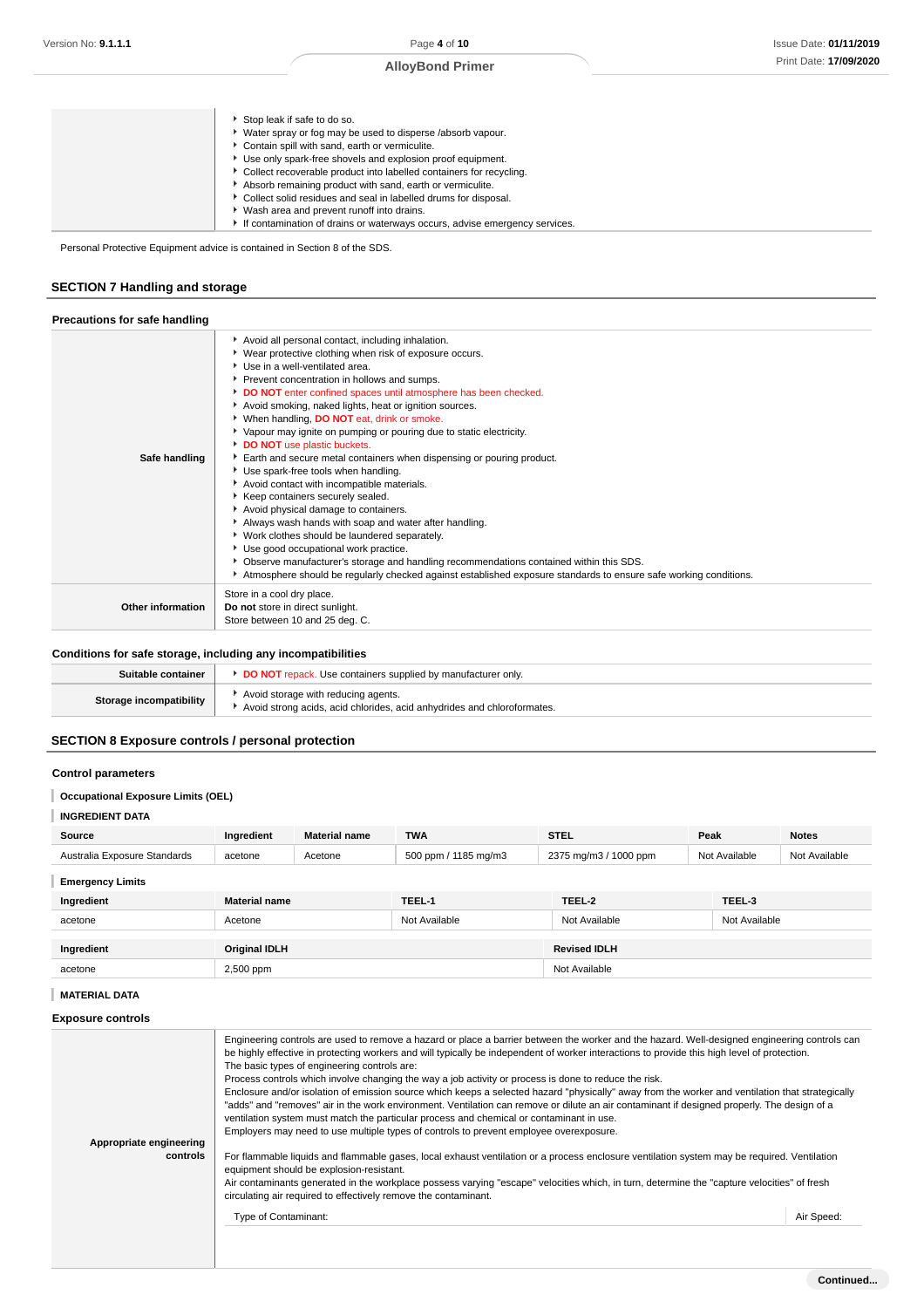| Stop leak if safe to do so.<br>• Water spray or fog may be used to disperse /absorb vapour.<br>Contain spill with sand, earth or vermiculite.<br>▶ Use only spark-free shovels and explosion proof equipment.<br>▶ Collect recoverable product into labelled containers for recycling.<br>Absorb remaining product with sand, earth or vermiculite.<br>▶ Collect solid residues and seal in labelled drums for disposal. |
|--------------------------------------------------------------------------------------------------------------------------------------------------------------------------------------------------------------------------------------------------------------------------------------------------------------------------------------------------------------------------------------------------------------------------|
| ▶ Wash area and prevent runoff into drains.<br>If contamination of drains or waterways occurs, advise emergency services.                                                                                                                                                                                                                                                                                                |

Personal Protective Equipment advice is contained in Section 8 of the SDS.

### **SECTION 7 Handling and storage**

| Precautions for safe handling |                                                                                                                                                                                                                                                                                                                                                                                                                                                                                                                                                                                                                                                                                                                                                                                                                                                                                                                                                                                                                                                                                             |
|-------------------------------|---------------------------------------------------------------------------------------------------------------------------------------------------------------------------------------------------------------------------------------------------------------------------------------------------------------------------------------------------------------------------------------------------------------------------------------------------------------------------------------------------------------------------------------------------------------------------------------------------------------------------------------------------------------------------------------------------------------------------------------------------------------------------------------------------------------------------------------------------------------------------------------------------------------------------------------------------------------------------------------------------------------------------------------------------------------------------------------------|
| Safe handling                 | Avoid all personal contact, including inhalation.<br>▶ Wear protective clothing when risk of exposure occurs.<br>Use in a well-ventilated area.<br>Prevent concentration in hollows and sumps.<br>DO NOT enter confined spaces until atmosphere has been checked.<br>Avoid smoking, naked lights, heat or ignition sources.<br>When handling, DO NOT eat, drink or smoke.<br>▶ Vapour may ignite on pumping or pouring due to static electricity.<br>DO NOT use plastic buckets.<br>Earth and secure metal containers when dispensing or pouring product.<br>Use spark-free tools when handling.<br>Avoid contact with incompatible materials.<br>Keep containers securely sealed.<br>Avoid physical damage to containers.<br>Always wash hands with soap and water after handling.<br>Vork clothes should be laundered separately.<br>Use good occupational work practice.<br>▶ Observe manufacturer's storage and handling recommendations contained within this SDS.<br>Atmosphere should be regularly checked against established exposure standards to ensure safe working conditions. |
| Other information             | Store in a cool dry place.<br>Do not store in direct sunlight.<br>Store between 10 and 25 deg. C.                                                                                                                                                                                                                                                                                                                                                                                                                                                                                                                                                                                                                                                                                                                                                                                                                                                                                                                                                                                           |

### **Conditions for safe storage, including any incompatibilities**

| Suitable container      | <b>DO NOT</b> repack. Use containers supplied by manufacturer only.                                            |
|-------------------------|----------------------------------------------------------------------------------------------------------------|
| Storage incompatibility | Avoid storage with reducing agents.<br>Avoid strong acids, acid chlorides, acid anhydrides and chloroformates. |

## **SECTION 8 Exposure controls / personal protection**

### **Control parameters**

### **Occupational Exposure Limits (OEL)**

## **INGREDIENT DATA**

| Source                       | Ingredient           | <b>Material name</b> | <b>TWA</b>           | <b>STEL</b>           | Peak          | <b>Notes</b>  |
|------------------------------|----------------------|----------------------|----------------------|-----------------------|---------------|---------------|
| Australia Exposure Standards | acetone              | Acetone              | 500 ppm / 1185 mg/m3 | 2375 mg/m3 / 1000 ppm | Not Available | Not Available |
| <b>Emergency Limits</b>      |                      |                      |                      |                       |               |               |
| Ingredient                   | <b>Material name</b> |                      | TEEL-1               | TEEL-2                | TEEL-3        |               |
| acetone                      | Acetone              |                      | Not Available        | Not Available         | Not Available |               |
|                              |                      |                      |                      |                       |               |               |
| Ingredient                   | <b>Original IDLH</b> |                      |                      | <b>Revised IDLH</b>   |               |               |
| acetone                      | 2,500 ppm            |                      |                      | Not Available         |               |               |

### **MATERIAL DATA**

#### **Exposure controls**

| Appropriate engineering<br>controls | Engineering controls are used to remove a hazard or place a barrier between the worker and the hazard. Well-designed engineering controls can<br>be highly effective in protecting workers and will typically be independent of worker interactions to provide this high level of protection.<br>The basic types of engineering controls are:<br>Process controls which involve changing the way a job activity or process is done to reduce the risk.<br>Enclosure and/or isolation of emission source which keeps a selected hazard "physically" away from the worker and ventilation that strategically<br>"adds" and "removes" air in the work environment. Ventilation can remove or dilute an air contaminant if designed properly. The design of a<br>ventilation system must match the particular process and chemical or contaminant in use.<br>Employers may need to use multiple types of controls to prevent employee overexposure.<br>For flammable liquids and flammable gases, local exhaust ventilation or a process enclosure ventilation system may be required. Ventilation<br>equipment should be explosion-resistant.<br>Air contaminants generated in the workplace possess varying "escape" velocities which, in turn, determine the "capture velocities" of fresh<br>circulating air required to effectively remove the contaminant. |            |
|-------------------------------------|--------------------------------------------------------------------------------------------------------------------------------------------------------------------------------------------------------------------------------------------------------------------------------------------------------------------------------------------------------------------------------------------------------------------------------------------------------------------------------------------------------------------------------------------------------------------------------------------------------------------------------------------------------------------------------------------------------------------------------------------------------------------------------------------------------------------------------------------------------------------------------------------------------------------------------------------------------------------------------------------------------------------------------------------------------------------------------------------------------------------------------------------------------------------------------------------------------------------------------------------------------------------------------------------------------------------------------------------------------------|------------|
|                                     | Type of Contaminant:                                                                                                                                                                                                                                                                                                                                                                                                                                                                                                                                                                                                                                                                                                                                                                                                                                                                                                                                                                                                                                                                                                                                                                                                                                                                                                                                         | Air Speed: |
|                                     |                                                                                                                                                                                                                                                                                                                                                                                                                                                                                                                                                                                                                                                                                                                                                                                                                                                                                                                                                                                                                                                                                                                                                                                                                                                                                                                                                              |            |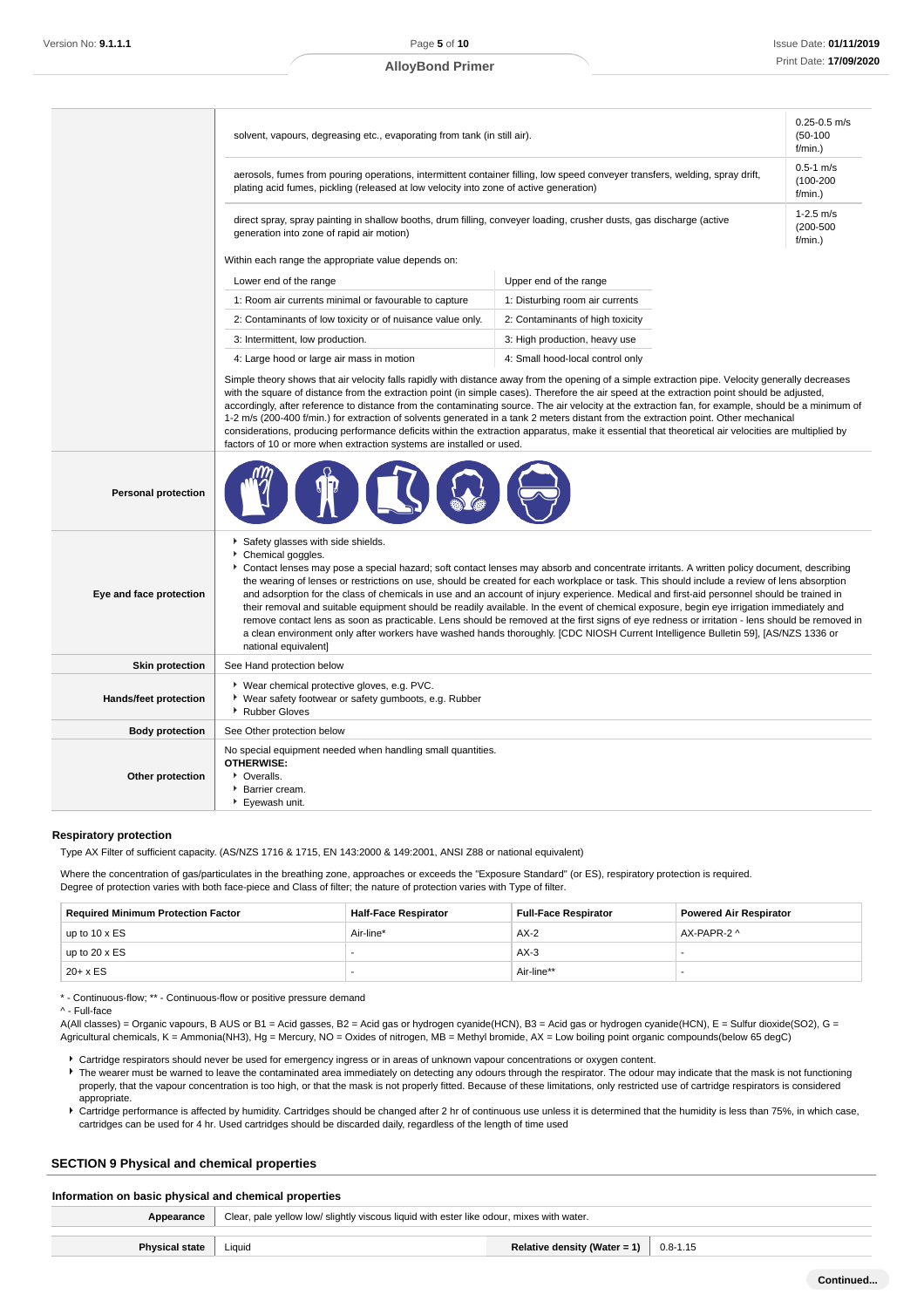|                            | solvent, vapours, degreasing etc., evaporating from tank (in still air).                                                                                                                                                                                                                                                                                                                                                                                                                                                                                                                                                                                                                                                                                                                                                                                                                                                                                      |                                           |  |
|----------------------------|---------------------------------------------------------------------------------------------------------------------------------------------------------------------------------------------------------------------------------------------------------------------------------------------------------------------------------------------------------------------------------------------------------------------------------------------------------------------------------------------------------------------------------------------------------------------------------------------------------------------------------------------------------------------------------------------------------------------------------------------------------------------------------------------------------------------------------------------------------------------------------------------------------------------------------------------------------------|-------------------------------------------|--|
|                            | aerosols, fumes from pouring operations, intermittent container filling, low speed conveyer transfers, welding, spray drift,<br>plating acid fumes, pickling (released at low velocity into zone of active generation)                                                                                                                                                                                                                                                                                                                                                                                                                                                                                                                                                                                                                                                                                                                                        | $0.5 - 1$ m/s<br>$(100 - 200)$<br>f/min.) |  |
|                            | direct spray, spray painting in shallow booths, drum filling, conveyer loading, crusher dusts, gas discharge (active<br>generation into zone of rapid air motion)                                                                                                                                                                                                                                                                                                                                                                                                                                                                                                                                                                                                                                                                                                                                                                                             |                                           |  |
|                            | Within each range the appropriate value depends on:                                                                                                                                                                                                                                                                                                                                                                                                                                                                                                                                                                                                                                                                                                                                                                                                                                                                                                           |                                           |  |
|                            | Lower end of the range                                                                                                                                                                                                                                                                                                                                                                                                                                                                                                                                                                                                                                                                                                                                                                                                                                                                                                                                        | Upper end of the range                    |  |
|                            | 1: Room air currents minimal or favourable to capture                                                                                                                                                                                                                                                                                                                                                                                                                                                                                                                                                                                                                                                                                                                                                                                                                                                                                                         | 1: Disturbing room air currents           |  |
|                            | 2: Contaminants of low toxicity or of nuisance value only.                                                                                                                                                                                                                                                                                                                                                                                                                                                                                                                                                                                                                                                                                                                                                                                                                                                                                                    | 2: Contaminants of high toxicity          |  |
|                            | 3: Intermittent, low production.                                                                                                                                                                                                                                                                                                                                                                                                                                                                                                                                                                                                                                                                                                                                                                                                                                                                                                                              | 3: High production, heavy use             |  |
|                            | 4: Large hood or large air mass in motion                                                                                                                                                                                                                                                                                                                                                                                                                                                                                                                                                                                                                                                                                                                                                                                                                                                                                                                     | 4: Small hood-local control only          |  |
|                            | Simple theory shows that air velocity falls rapidly with distance away from the opening of a simple extraction pipe. Velocity generally decreases<br>with the square of distance from the extraction point (in simple cases). Therefore the air speed at the extraction point should be adjusted,<br>accordingly, after reference to distance from the contaminating source. The air velocity at the extraction fan, for example, should be a minimum of<br>1-2 m/s (200-400 f/min.) for extraction of solvents generated in a tank 2 meters distant from the extraction point. Other mechanical<br>considerations, producing performance deficits within the extraction apparatus, make it essential that theoretical air velocities are multiplied by<br>factors of 10 or more when extraction systems are installed or used.                                                                                                                               |                                           |  |
| <b>Personal protection</b> |                                                                                                                                                                                                                                                                                                                                                                                                                                                                                                                                                                                                                                                                                                                                                                                                                                                                                                                                                               |                                           |  |
| Eye and face protection    | Safety glasses with side shields.<br>Chemical goggles.<br>Contact lenses may pose a special hazard; soft contact lenses may absorb and concentrate irritants. A written policy document, describing<br>the wearing of lenses or restrictions on use, should be created for each workplace or task. This should include a review of lens absorption<br>and adsorption for the class of chemicals in use and an account of injury experience. Medical and first-aid personnel should be trained in<br>their removal and suitable equipment should be readily available. In the event of chemical exposure, begin eye irrigation immediately and<br>remove contact lens as soon as practicable. Lens should be removed at the first signs of eye redness or irritation - lens should be removed in<br>a clean environment only after workers have washed hands thoroughly. [CDC NIOSH Current Intelligence Bulletin 59], [AS/NZS 1336 or<br>national equivalent] |                                           |  |
| <b>Skin protection</b>     | See Hand protection below                                                                                                                                                                                                                                                                                                                                                                                                                                                                                                                                                                                                                                                                                                                                                                                                                                                                                                                                     |                                           |  |
| Hands/feet protection      | ▶ Wear chemical protective gloves, e.g. PVC.<br>* Wear safety footwear or safety gumboots, e.g. Rubber<br>▶ Rubber Gloves                                                                                                                                                                                                                                                                                                                                                                                                                                                                                                                                                                                                                                                                                                                                                                                                                                     |                                           |  |
| <b>Body protection</b>     | See Other protection below                                                                                                                                                                                                                                                                                                                                                                                                                                                                                                                                                                                                                                                                                                                                                                                                                                                                                                                                    |                                           |  |
| Other protection           | No special equipment needed when handling small quantities.<br><b>OTHERWISE:</b><br>• Overalls.<br>Barrier cream.<br>Eyewash unit.                                                                                                                                                                                                                                                                                                                                                                                                                                                                                                                                                                                                                                                                                                                                                                                                                            |                                           |  |

#### **Respiratory protection**

Type AX Filter of sufficient capacity. (AS/NZS 1716 & 1715, EN 143:2000 & 149:2001, ANSI Z88 or national equivalent)

Where the concentration of gas/particulates in the breathing zone, approaches or exceeds the "Exposure Standard" (or ES), respiratory protection is required. Degree of protection varies with both face-piece and Class of filter; the nature of protection varies with Type of filter.

| <b>Required Minimum Protection Factor</b> | <b>Half-Face Respirator</b> | <b>Full-Face Respirator</b> | <b>Powered Air Respirator</b> |
|-------------------------------------------|-----------------------------|-----------------------------|-------------------------------|
| up to $10 \times ES$                      | Air-line*                   | $AX-2$                      | AX-PAPR-2 ^                   |
| up to $20 \times ES$                      |                             | $AX-3$                      |                               |
| $20 + x ES$                               | -                           | Air-line**                  |                               |

\* - Continuous-flow; \*\* - Continuous-flow or positive pressure demand

^ - Full-face

A(All classes) = Organic vapours, B AUS or B1 = Acid gasses, B2 = Acid gas or hydrogen cyanide(HCN), B3 = Acid gas or hydrogen cyanide(HCN), E = Sulfur dioxide(SO2), G = Agricultural chemicals, K = Ammonia(NH3), Hg = Mercury, NO = Oxides of nitrogen, MB = Methyl bromide, AX = Low boiling point organic compounds(below 65 degC)

- Cartridge respirators should never be used for emergency ingress or in areas of unknown vapour concentrations or oxygen content. ▶ The wearer must be warned to leave the contaminated area immediately on detecting any odours through the respirator. The odour may indicate that the mask is not functioning properly, that the vapour concentration is too high, or that the mask is not properly fitted. Because of these limitations, only restricted use of cartridge respirators is considered appropriate.
- Cartridge performance is affected by humidity. Cartridges should be changed after 2 hr of continuous use unless it is determined that the humidity is less than 75%, in which case, cartridges can be used for 4 hr. Used cartridges should be discarded daily, regardless of the length of time used

#### **SECTION 9 Physical and chemical properties**

#### **Information on basic physical and chemical properties**

**Appearance** Clear, pale yellow low/ slightly viscous liquid with ester like odour, mixes with water.

| <b>Physical state</b> | Liquid | .kelativr |
|-----------------------|--------|-----------|

**Physical states Relative density (Water = 1)** 0.8-1.15

```
Continued...
```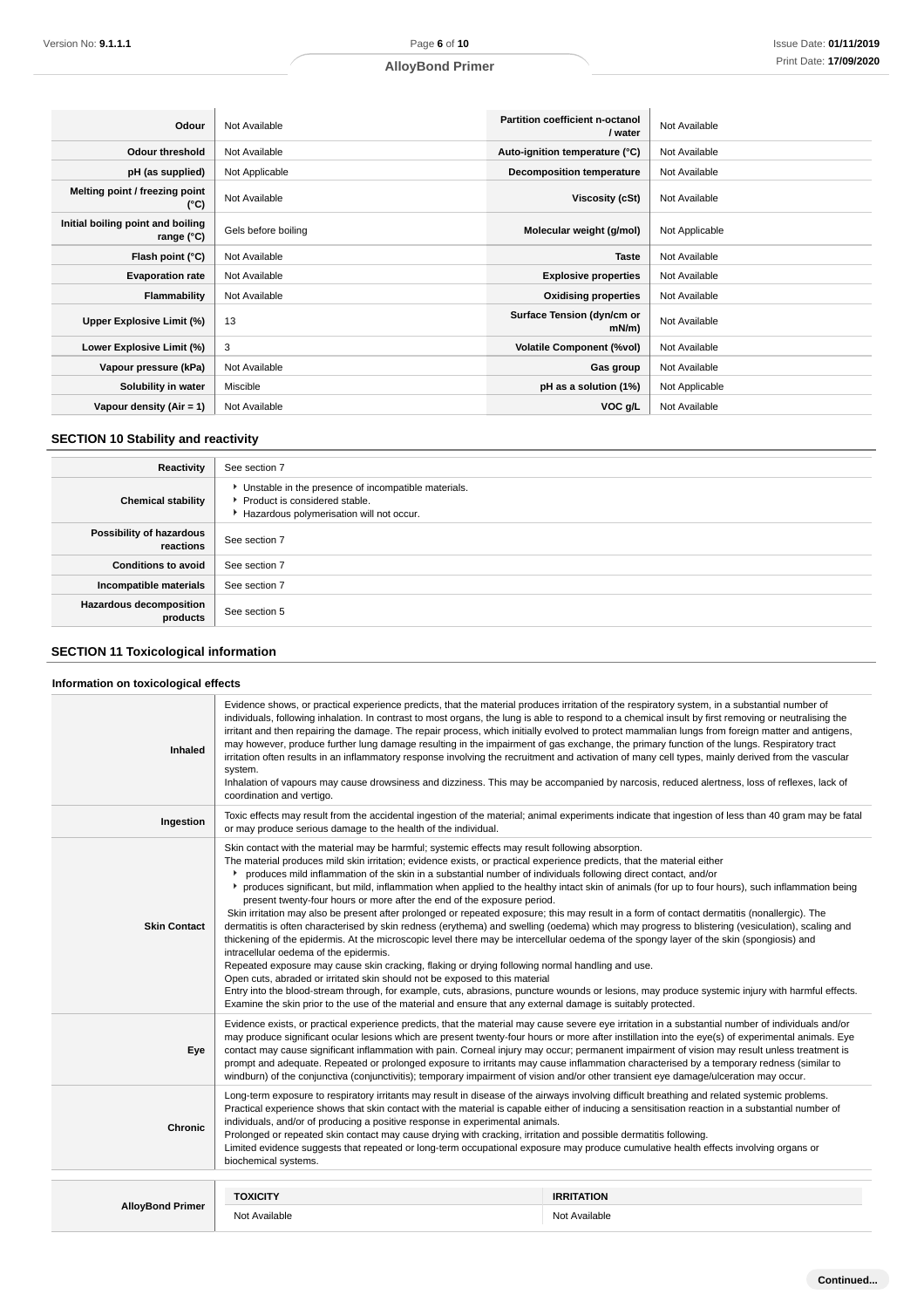| Odour                                           | Not Available       | Partition coefficient n-octanol<br>/ water | Not Available  |
|-------------------------------------------------|---------------------|--------------------------------------------|----------------|
| <b>Odour threshold</b>                          | Not Available       | Auto-ignition temperature (°C)             | Not Available  |
| pH (as supplied)                                | Not Applicable      | <b>Decomposition temperature</b>           | Not Available  |
| Melting point / freezing point<br>(°C)          | Not Available       | Viscosity (cSt)                            | Not Available  |
| Initial boiling point and boiling<br>range (°C) | Gels before boiling | Molecular weight (g/mol)                   | Not Applicable |
| Flash point (°C)                                | Not Available       | <b>Taste</b>                               | Not Available  |
| <b>Evaporation rate</b>                         | Not Available       | <b>Explosive properties</b>                | Not Available  |
| Flammability                                    | Not Available       | <b>Oxidising properties</b>                | Not Available  |
| Upper Explosive Limit (%)                       | 13                  | Surface Tension (dyn/cm or<br>$mN/m$ )     | Not Available  |
| Lower Explosive Limit (%)                       | 3                   | <b>Volatile Component (%vol)</b>           | Not Available  |
| Vapour pressure (kPa)                           | Not Available       | Gas group                                  | Not Available  |
| Solubility in water                             | Miscible            | pH as a solution (1%)                      | Not Applicable |
| Vapour density (Air = 1)                        | Not Available       | VOC g/L                                    | Not Available  |

## **SECTION 10 Stability and reactivity**

| Reactivity                                 | See section 7                                                                                                                        |
|--------------------------------------------|--------------------------------------------------------------------------------------------------------------------------------------|
| <b>Chemical stability</b>                  | • Unstable in the presence of incompatible materials.<br>▶ Product is considered stable.<br>Hazardous polymerisation will not occur. |
| Possibility of hazardous<br>reactions      | See section 7                                                                                                                        |
| <b>Conditions to avoid</b>                 | See section 7                                                                                                                        |
| Incompatible materials                     | See section 7                                                                                                                        |
| <b>Hazardous decomposition</b><br>products | See section 5                                                                                                                        |

## **SECTION 11 Toxicological information**

### **Information on toxicological effects**

| <b>Inhaled</b>          | Evidence shows, or practical experience predicts, that the material produces irritation of the respiratory system, in a substantial number of<br>individuals, following inhalation. In contrast to most organs, the lung is able to respond to a chemical insult by first removing or neutralising the<br>irritant and then repairing the damage. The repair process, which initially evolved to protect mammalian lungs from foreign matter and antigens,<br>may however, produce further lung damage resulting in the impairment of gas exchange, the primary function of the lungs. Respiratory tract<br>irritation often results in an inflammatory response involving the recruitment and activation of many cell types, mainly derived from the vascular<br>system.<br>Inhalation of vapours may cause drowsiness and dizziness. This may be accompanied by narcosis, reduced alertness, loss of reflexes, lack of<br>coordination and vertigo.                                                                                                                                                                                                                                                                                                                                                                                                                                                                                                                                                                        |                   |  |
|-------------------------|------------------------------------------------------------------------------------------------------------------------------------------------------------------------------------------------------------------------------------------------------------------------------------------------------------------------------------------------------------------------------------------------------------------------------------------------------------------------------------------------------------------------------------------------------------------------------------------------------------------------------------------------------------------------------------------------------------------------------------------------------------------------------------------------------------------------------------------------------------------------------------------------------------------------------------------------------------------------------------------------------------------------------------------------------------------------------------------------------------------------------------------------------------------------------------------------------------------------------------------------------------------------------------------------------------------------------------------------------------------------------------------------------------------------------------------------------------------------------------------------------------------------------|-------------------|--|
| Ingestion               | Toxic effects may result from the accidental ingestion of the material; animal experiments indicate that ingestion of less than 40 gram may be fatal<br>or may produce serious damage to the health of the individual.                                                                                                                                                                                                                                                                                                                                                                                                                                                                                                                                                                                                                                                                                                                                                                                                                                                                                                                                                                                                                                                                                                                                                                                                                                                                                                       |                   |  |
| <b>Skin Contact</b>     | Skin contact with the material may be harmful; systemic effects may result following absorption.<br>The material produces mild skin irritation; evidence exists, or practical experience predicts, that the material either<br>produces mild inflammation of the skin in a substantial number of individuals following direct contact, and/or<br>▶ produces significant, but mild, inflammation when applied to the healthy intact skin of animals (for up to four hours), such inflammation being<br>present twenty-four hours or more after the end of the exposure period.<br>Skin irritation may also be present after prolonged or repeated exposure; this may result in a form of contact dermatitis (nonallergic). The<br>dermatitis is often characterised by skin redness (erythema) and swelling (oedema) which may progress to blistering (vesiculation), scaling and<br>thickening of the epidermis. At the microscopic level there may be intercellular oedema of the spongy layer of the skin (spongiosis) and<br>intracellular oedema of the epidermis.<br>Repeated exposure may cause skin cracking, flaking or drying following normal handling and use.<br>Open cuts, abraded or irritated skin should not be exposed to this material<br>Entry into the blood-stream through, for example, cuts, abrasions, puncture wounds or lesions, may produce systemic injury with harmful effects.<br>Examine the skin prior to the use of the material and ensure that any external damage is suitably protected. |                   |  |
| Eye                     | Evidence exists, or practical experience predicts, that the material may cause severe eye irritation in a substantial number of individuals and/or<br>may produce significant ocular lesions which are present twenty-four hours or more after instillation into the eye(s) of experimental animals. Eye<br>contact may cause significant inflammation with pain. Corneal injury may occur; permanent impairment of vision may result unless treatment is<br>prompt and adequate. Repeated or prolonged exposure to irritants may cause inflammation characterised by a temporary redness (similar to<br>windburn) of the conjunctiva (conjunctivitis); temporary impairment of vision and/or other transient eye damage/ulceration may occur.                                                                                                                                                                                                                                                                                                                                                                                                                                                                                                                                                                                                                                                                                                                                                                               |                   |  |
| <b>Chronic</b>          | Long-term exposure to respiratory irritants may result in disease of the airways involving difficult breathing and related systemic problems.<br>Practical experience shows that skin contact with the material is capable either of inducing a sensitisation reaction in a substantial number of<br>individuals, and/or of producing a positive response in experimental animals.<br>Prolonged or repeated skin contact may cause drying with cracking, irritation and possible dermatitis following.<br>Limited evidence suggests that repeated or long-term occupational exposure may produce cumulative health effects involving organs or<br>biochemical systems.                                                                                                                                                                                                                                                                                                                                                                                                                                                                                                                                                                                                                                                                                                                                                                                                                                                       |                   |  |
|                         |                                                                                                                                                                                                                                                                                                                                                                                                                                                                                                                                                                                                                                                                                                                                                                                                                                                                                                                                                                                                                                                                                                                                                                                                                                                                                                                                                                                                                                                                                                                              |                   |  |
|                         | <b>TOXICITY</b>                                                                                                                                                                                                                                                                                                                                                                                                                                                                                                                                                                                                                                                                                                                                                                                                                                                                                                                                                                                                                                                                                                                                                                                                                                                                                                                                                                                                                                                                                                              | <b>IRRITATION</b> |  |
| <b>AlloyBond Primer</b> | Not Available                                                                                                                                                                                                                                                                                                                                                                                                                                                                                                                                                                                                                                                                                                                                                                                                                                                                                                                                                                                                                                                                                                                                                                                                                                                                                                                                                                                                                                                                                                                | Not Available     |  |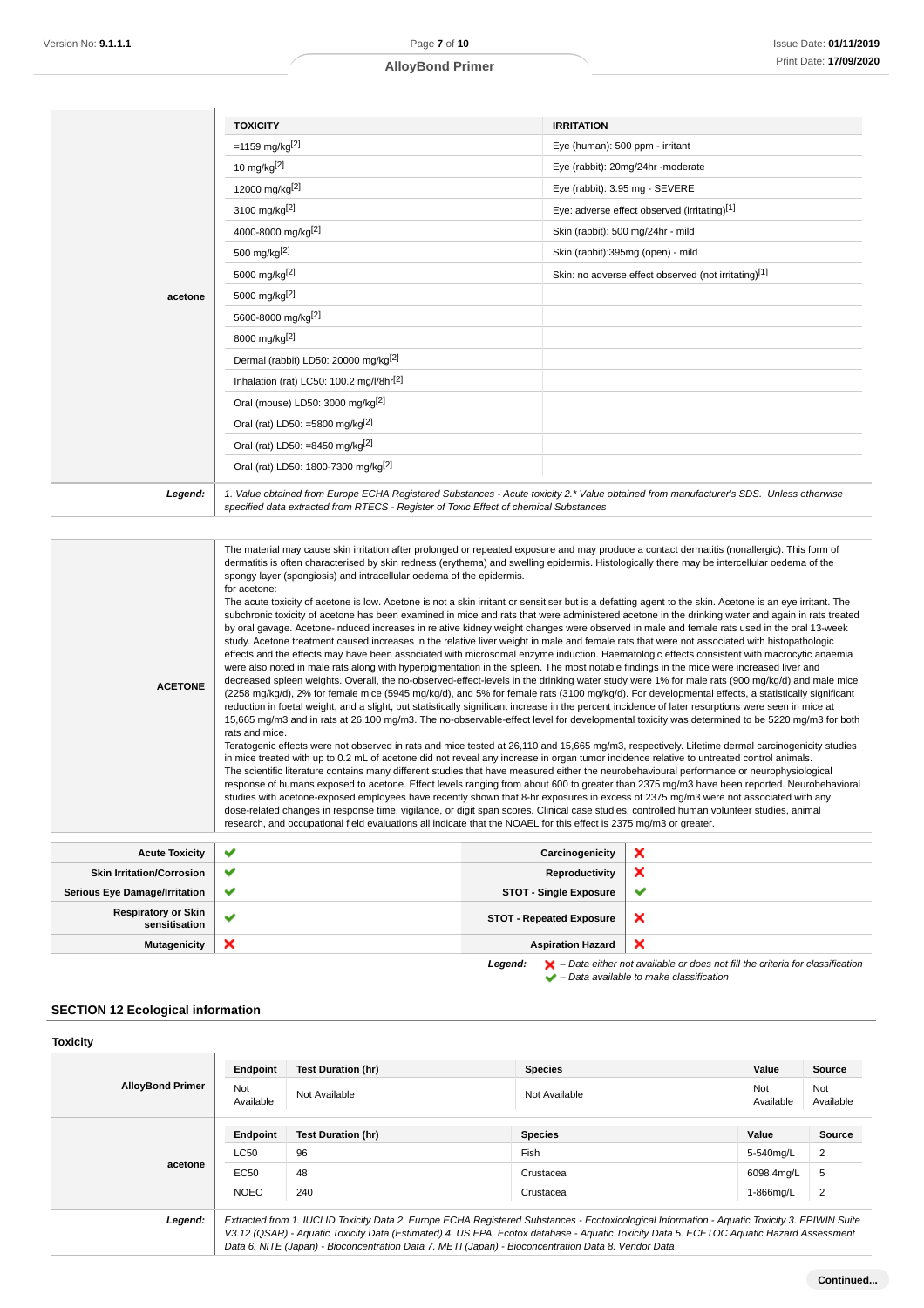|         | <b>TOXICITY</b>                                      | <b>IRRITATION</b>                                    |
|---------|------------------------------------------------------|------------------------------------------------------|
|         | $= 1159$ mg/kg <sup>[2]</sup>                        | Eye (human): 500 ppm - irritant                      |
|         | 10 mg/kg $[2]$                                       | Eye (rabbit): 20mg/24hr -moderate                    |
|         | 12000 mg/kg[2]                                       | Eye (rabbit): 3.95 mg - SEVERE                       |
|         | 3100 mg/kg <sup>[2]</sup>                            | Eye: adverse effect observed (irritating)[1]         |
|         | 4000-8000 mg/kg[2]                                   | Skin (rabbit): 500 mg/24hr - mild                    |
|         | 500 mg/kg <sup>[2]</sup>                             | Skin (rabbit):395mg (open) - mild                    |
|         | 5000 mg/kg <sup>[2]</sup>                            | Skin: no adverse effect observed (not irritating)[1] |
| acetone | 5000 mg/kg <sup>[2]</sup>                            |                                                      |
|         | 5600-8000 mg/kg[2]                                   |                                                      |
|         | 8000 mg/kg[2]                                        |                                                      |
|         | Dermal (rabbit) LD50: 20000 mg/kg <sup>[2]</sup>     |                                                      |
|         | Inhalation (rat) LC50: 100.2 mg/l/8hr <sup>[2]</sup> |                                                      |
|         | Oral (mouse) LD50: 3000 mg/kg <sup>[2]</sup>         |                                                      |
|         | Oral (rat) LD50: =5800 mg/kg <sup>[2]</sup>          |                                                      |
|         | Oral (rat) LD50: =8450 mg/kg <sup>[2]</sup>          |                                                      |
|         | Oral (rat) LD50: 1800-7300 mg/kg <sup>[2]</sup>      |                                                      |

**ACETONE** The material may cause skin irritation after prolonged or repeated exposure and may produce a contact dermatitis (nonallergic). This form of dermatitis is often characterised by skin redness (erythema) and swelling epidermis. Histologically there may be intercellular oedema of the spongy layer (spongiosis) and intracellular oedema of the epidermis. for acetone: The acute toxicity of acetone is low. Acetone is not a skin irritant or sensitiser but is a defatting agent to the skin. Acetone is an eye irritant. The subchronic toxicity of acetone has been examined in mice and rats that were administered acetone in the drinking water and again in rats treated by oral gavage. Acetone-induced increases in relative kidney weight changes were observed in male and female rats used in the oral 13-week study. Acetone treatment caused increases in the relative liver weight in male and female rats that were not associated with histopathologic effects and the effects may have been associated with microsomal enzyme induction. Haematologic effects consistent with macrocytic anaemia were also noted in male rats along with hyperpigmentation in the spleen. The most notable findings in the mice were increased liver and decreased spleen weights. Overall, the no-observed-effect-levels in the drinking water study were 1% for male rats (900 mg/kg/d) and male mice (2258 mg/kg/d), 2% for female mice (5945 mg/kg/d), and 5% for female rats (3100 mg/kg/d). For developmental effects, a statistically significant reduction in foetal weight, and a slight, but statistically significant increase in the percent incidence of later resorptions were seen in mice at 15,665 mg/m3 and in rats at 26,100 mg/m3. The no-observable-effect level for developmental toxicity was determined to be 5220 mg/m3 for both rats and mice. Teratogenic effects were not observed in rats and mice tested at 26,110 and 15,665 mg/m3, respectively. Lifetime dermal carcinogenicity studies in mice treated with up to 0.2 mL of acetone did not reveal any increase in organ tumor incidence relative to untreated control animals. The scientific literature contains many different studies that have measured either the neurobehavioural performance or neurophysiological response of humans exposed to acetone. Effect levels ranging from about 600 to greater than 2375 mg/m3 have been reported. Neurobehavioral studies with acetone-exposed employees have recently shown that 8-hr exposures in excess of 2375 mg/m3 were not associated with any dose-related changes in response time, vigilance, or digit span scores. Clinical case studies, controlled human volunteer studies, animal research, and occupational field evaluations all indicate that the NOAEL for this effect is 2375 mg/m3 or greater.

| <b>Acute Toxicity</b>                       | $\checkmark$ | Carcinogenicity                 | $\boldsymbol{\mathsf{x}}$                                                                          |
|---------------------------------------------|--------------|---------------------------------|----------------------------------------------------------------------------------------------------|
| <b>Skin Irritation/Corrosion</b>            | ✔            | Reproductivity                  | $\boldsymbol{\mathsf{x}}$                                                                          |
| <b>Serious Eye Damage/Irritation</b>        | ✔            | <b>STOT - Single Exposure</b>   | ×                                                                                                  |
| <b>Respiratory or Skin</b><br>sensitisation |              | <b>STOT - Repeated Exposure</b> | $\boldsymbol{\times}$                                                                              |
| <b>Mutagenicity</b>                         | ×            | <b>Aspiration Hazard</b>        | $\boldsymbol{\times}$                                                                              |
|                                             |              | Leaend:                         | $\blacktriangleright$ - Data either not available or does not fill the criteria for classification |

 $\blacktriangleright$  – Data available to make classification

#### **SECTION 12 Ecological information**

|                  |                           |                           |                  | Source                                                                                                                                                 |
|------------------|---------------------------|---------------------------|------------------|--------------------------------------------------------------------------------------------------------------------------------------------------------|
| Not<br>Available | Not Available             | Not Available             | Not<br>Available | Not<br>Available                                                                                                                                       |
| Endpoint         | <b>Test Duration (hr)</b> | <b>Species</b>            | Value            | <b>Source</b>                                                                                                                                          |
| <b>LC50</b>      | 96                        | Fish                      | 5-540mg/L        | 2                                                                                                                                                      |
| EC50             | 48                        | Crustacea                 | 6098.4mg/L       | 5                                                                                                                                                      |
| <b>NOEC</b>      | 240                       | Crustacea                 | 1-866mg/L        | 2                                                                                                                                                      |
|                  |                           |                           |                  |                                                                                                                                                        |
|                  | Endpoint                  | <b>Test Duration (hr)</b> | <b>Species</b>   | Value<br>Extracted from 1. IUCLID Toxicity Data 2. Europe ECHA Registered Substances - Ecotoxicological Information - Aquatic Toxicity 3. EPIWIN Suite |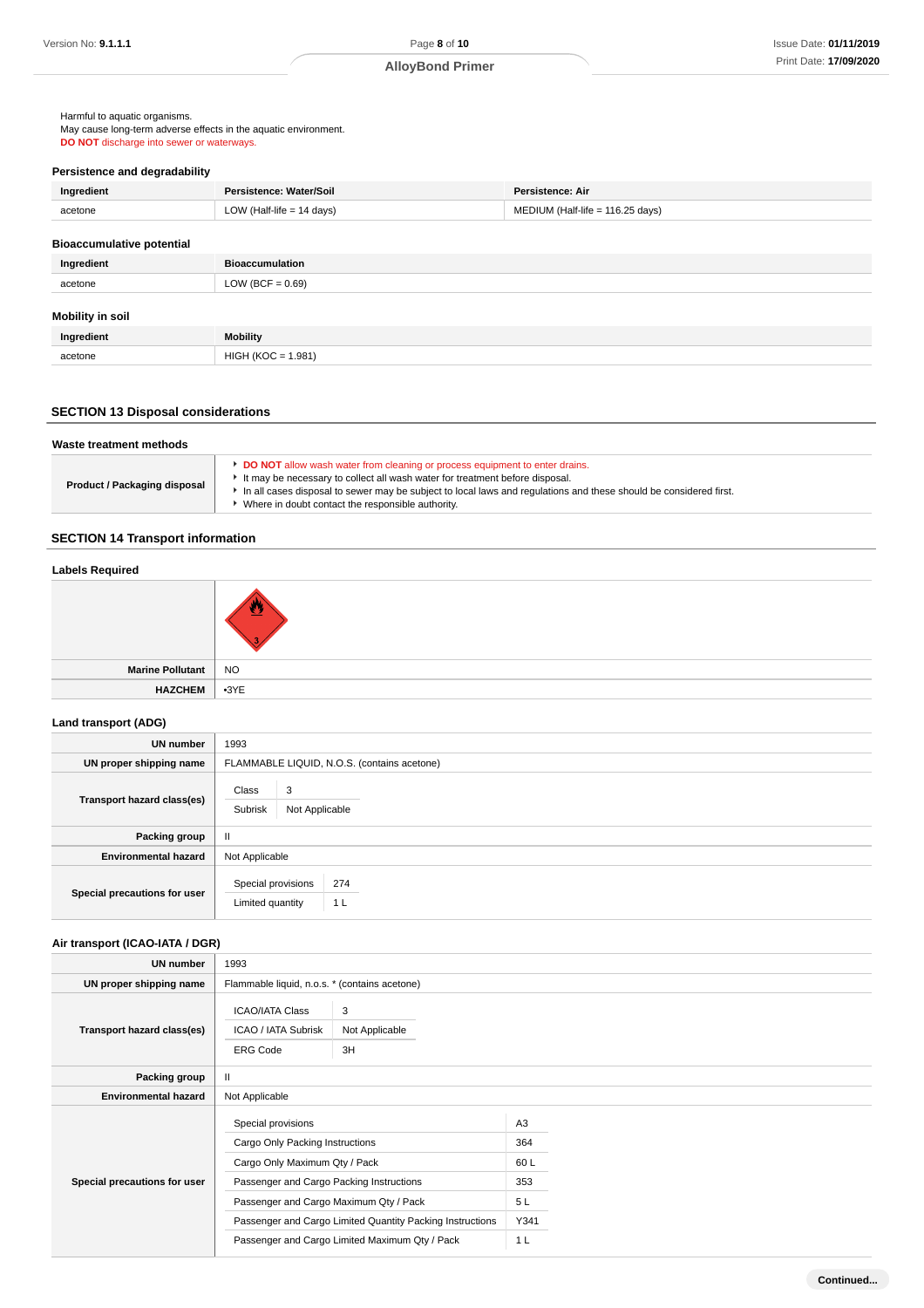Harmful to aquatic organisms. May cause long-term adverse effects in the aquatic environment. **DO NOT** discharge into sewer or waterways.

## **Persistence and degradability**

| Ingredient                       | Persistence: Water/Soil     | <b>Persistence: Air</b>          |
|----------------------------------|-----------------------------|----------------------------------|
| acetone                          | LOW (Half-life $= 14$ days) | MEDIUM (Half-life = 116.25 days) |
| <b>Bioaccumulative potential</b> |                             |                                  |
|                                  |                             |                                  |
| Ingredient                       | <b>Bioaccumulation</b>      |                                  |
| acetone                          | LOW (BCF = $0.69$ )         |                                  |
|                                  |                             |                                  |
| <b>Mobility in soil</b>          |                             |                                  |
| Ingredient                       | <b>Mobility</b>             |                                  |
| acetone                          | $HIGH (KOC = 1.981)$        |                                  |

## **SECTION 13 Disposal considerations**

| DO NOT allow wash water from cleaning or process equipment to enter drains.<br>It may be necessary to collect all wash water for treatment before disposal.<br>Product / Packaging disposal<br>In all cases disposal to sewer may be subject to local laws and regulations and these should be considered first. | Waste treatment methods |                                                   |  |  |
|------------------------------------------------------------------------------------------------------------------------------------------------------------------------------------------------------------------------------------------------------------------------------------------------------------------|-------------------------|---------------------------------------------------|--|--|
|                                                                                                                                                                                                                                                                                                                  |                         | Where in doubt contact the responsible authority. |  |  |

## **SECTION 14 Transport information**

## **Labels Required**



| <b>Marine Pollutant</b> | <b>NO</b> |
|-------------------------|-----------|
| <b>HAZCHEM</b>          | $-3YE$    |
|                         |           |

### **Land transport (ADG)**

| <b>UN number</b>             | 1993                                                            |  |  |
|------------------------------|-----------------------------------------------------------------|--|--|
| UN proper shipping name      | FLAMMABLE LIQUID, N.O.S. (contains acetone)                     |  |  |
| Transport hazard class(es)   | Class<br>3<br>Subrisk<br>Not Applicable                         |  |  |
| Packing group                | $\mathbf{I}$                                                    |  |  |
| <b>Environmental hazard</b>  | Not Applicable                                                  |  |  |
| Special precautions for user | Special provisions<br>274<br>Limited quantity<br>1 <sub>L</sub> |  |  |

## **Air transport (ICAO-IATA / DGR)**

| UN number                    | 1993                                                             |                                                           |                |  |
|------------------------------|------------------------------------------------------------------|-----------------------------------------------------------|----------------|--|
| UN proper shipping name      | Flammable liquid, n.o.s. * (contains acetone)                    |                                                           |                |  |
| Transport hazard class(es)   | <b>ICAO/IATA Class</b><br>ICAO / IATA Subrisk<br><b>ERG Code</b> | 3<br>Not Applicable<br>3H                                 |                |  |
| Packing group                | $\mathbf{II}$                                                    |                                                           |                |  |
| <b>Environmental hazard</b>  | Not Applicable                                                   |                                                           |                |  |
|                              | Special provisions                                               |                                                           | A3             |  |
|                              | Cargo Only Packing Instructions                                  |                                                           | 364            |  |
|                              | Cargo Only Maximum Qty / Pack                                    |                                                           | 60L            |  |
| Special precautions for user | Passenger and Cargo Packing Instructions                         |                                                           | 353            |  |
|                              | Passenger and Cargo Maximum Qty / Pack                           |                                                           | 5L             |  |
|                              |                                                                  | Passenger and Cargo Limited Quantity Packing Instructions | Y341           |  |
|                              | Passenger and Cargo Limited Maximum Qty / Pack                   |                                                           | 1 <sub>L</sub> |  |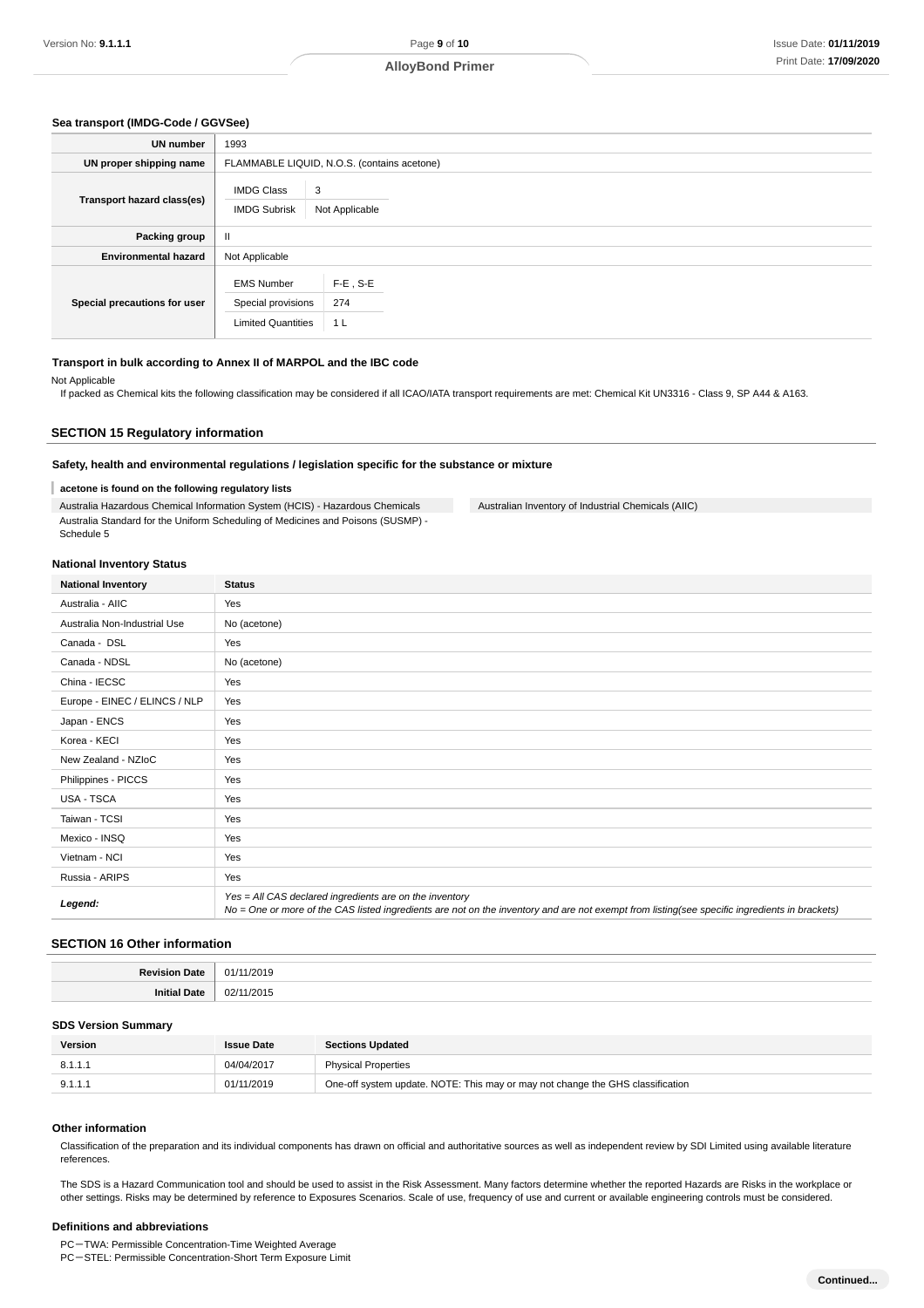#### **Sea transport (IMDG-Code / GGVSee)**

| UN number                    | 1993                                                                 |                                             |  |  |
|------------------------------|----------------------------------------------------------------------|---------------------------------------------|--|--|
| UN proper shipping name      |                                                                      | FLAMMABLE LIQUID, N.O.S. (contains acetone) |  |  |
| Transport hazard class(es)   | <b>IMDG Class</b><br><b>IMDG Subrisk</b>                             | 3<br>Not Applicable                         |  |  |
| Packing group                | $\mathbf{H}$                                                         |                                             |  |  |
| <b>Environmental hazard</b>  | Not Applicable                                                       |                                             |  |  |
| Special precautions for user | <b>EMS Number</b><br>Special provisions<br><b>Limited Quantities</b> | $F-E$ , S-E<br>274<br>1 <sub>L</sub>        |  |  |

#### **Transport in bulk according to Annex II of MARPOL and the IBC code**

#### Not Applicable

If packed as Chemical kits the following classification may be considered if all ICAO/IATA transport requirements are met: Chemical Kit UN3316 - Class 9, SP A44 & A163.

### **SECTION 15 Regulatory information**

#### **Safety, health and environmental regulations / legislation specific for the substance or mixture**

#### I **acetone is found on the following regulatory lists**

Australia Hazardous Chemical Information System (HCIS) - Hazardous Chemicals Australia Standard for the Uniform Scheduling of Medicines and Poisons (SUSMP) - Schedule 5

Australian Inventory of Industrial Chemicals (AIIC)

#### **National Inventory Status**

| <b>National Inventory</b>     | <b>Status</b>                                                                                                                                                                                            |
|-------------------------------|----------------------------------------------------------------------------------------------------------------------------------------------------------------------------------------------------------|
| Australia - AIIC              | Yes                                                                                                                                                                                                      |
| Australia Non-Industrial Use  | No (acetone)                                                                                                                                                                                             |
| Canada - DSL                  | Yes                                                                                                                                                                                                      |
| Canada - NDSL                 | No (acetone)                                                                                                                                                                                             |
| China - IECSC                 | Yes                                                                                                                                                                                                      |
| Europe - EINEC / ELINCS / NLP | Yes                                                                                                                                                                                                      |
| Japan - ENCS                  | Yes                                                                                                                                                                                                      |
| Korea - KECI                  | Yes                                                                                                                                                                                                      |
| New Zealand - NZIoC           | Yes                                                                                                                                                                                                      |
| Philippines - PICCS           | Yes                                                                                                                                                                                                      |
| USA - TSCA                    | Yes                                                                                                                                                                                                      |
| Taiwan - TCSI                 | Yes                                                                                                                                                                                                      |
| Mexico - INSQ                 | Yes                                                                                                                                                                                                      |
| Vietnam - NCI                 | Yes                                                                                                                                                                                                      |
| Russia - ARIPS                | Yes                                                                                                                                                                                                      |
| Legend:                       | Yes = All CAS declared ingredients are on the inventory<br>No = One or more of the CAS listed ingredients are not on the inventory and are not exempt from listing(see specific ingredients in brackets) |

#### **SECTION 16 Other information**

| .                              |
|--------------------------------|
| $. \nu$<br>$\overline{ }$<br>. |

#### **SDS Version Summary**

| Version | <b>Issue Date</b> | <b>Sections Updated</b>                                                        |
|---------|-------------------|--------------------------------------------------------------------------------|
| 8.1.1.1 | 04/04/2017        | <b>Physical Properties</b>                                                     |
| 9.1.1.1 | 01/11/2019        | One-off system update. NOTE: This may or may not change the GHS classification |

#### **Other information**

Classification of the preparation and its individual components has drawn on official and authoritative sources as well as independent review by SDI Limited using available literature references.

The SDS is a Hazard Communication tool and should be used to assist in the Risk Assessment. Many factors determine whether the reported Hazards are Risks in the workplace or other settings. Risks may be determined by reference to Exposures Scenarios. Scale of use, frequency of use and current or available engineering controls must be considered.

#### **Definitions and abbreviations**

PC-TWA: Permissible Concentration-Time Weighted Average

PC-STEL: Permissible Concentration-Short Term Exposure Limit